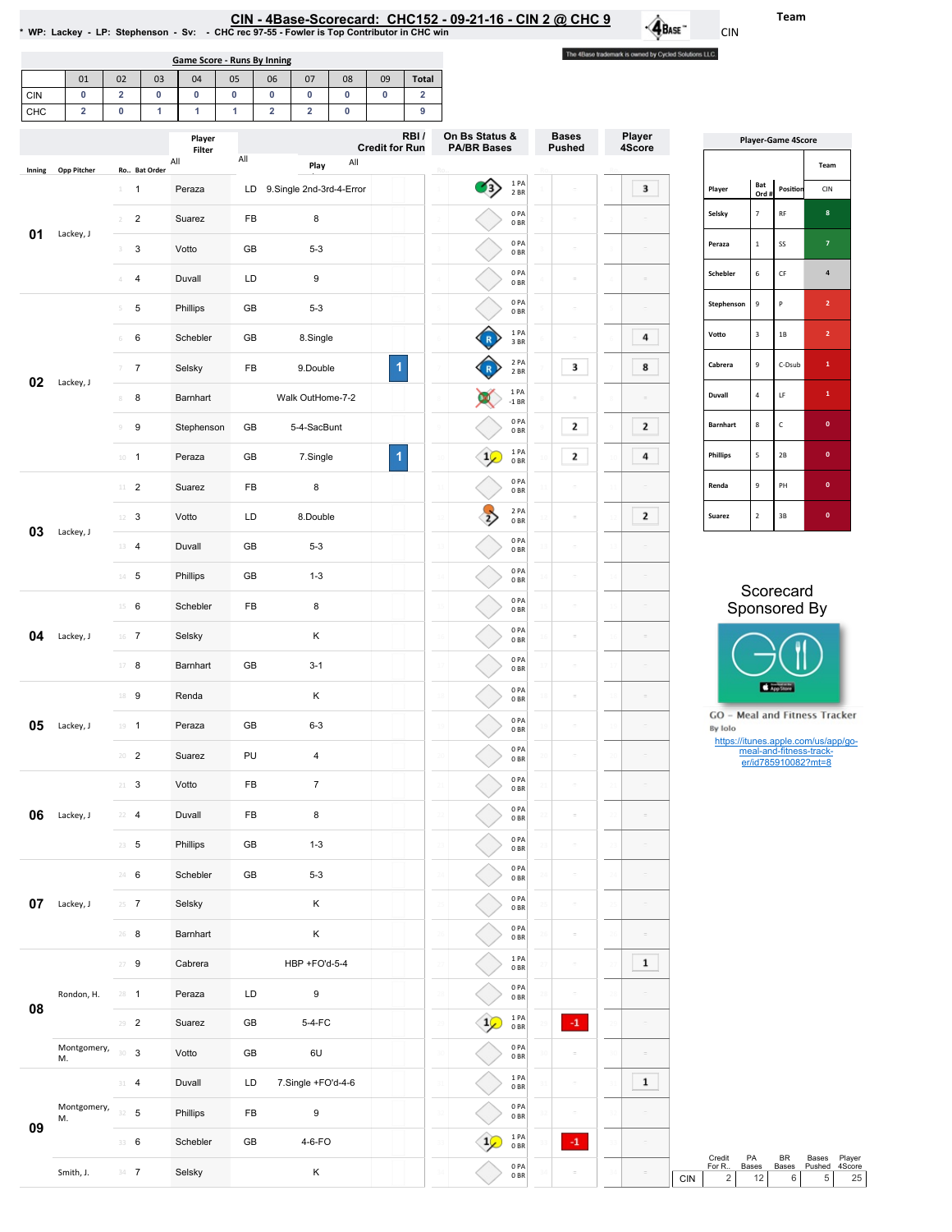| CIN - 4Base-Scorecard: CHC152 - 09-21-16 - CIN 2 @ CHC 9                                   |  |
|--------------------------------------------------------------------------------------------|--|
| * WP: Lackey - LP: Stephenson - Sv: - CHC rec 97-55 - Fowler is Top Contributor in CHC win |  |

Game Score - Runs By Inning

The 4Base trademark is owned by Cycled Solutions LLC.

 $\cdot \mathbf{A}_{\text{Base}}$ 

|                   | 01                                     | 02                            | 03                        | 04                        | 05                        | 06                            | 07                            | 08                         | 09                      | <b>Total</b>        |                                      |                         |                               |                         |                                                 |                         |                                                |                                                   |
|-------------------|----------------------------------------|-------------------------------|---------------------------|---------------------------|---------------------------|-------------------------------|-------------------------------|----------------------------|-------------------------|---------------------|--------------------------------------|-------------------------|-------------------------------|-------------------------|-------------------------------------------------|-------------------------|------------------------------------------------|---------------------------------------------------|
| <b>CIN</b><br>CHC | $\mathbf 0$<br>$\overline{\mathbf{2}}$ | $\overline{2}$<br>$\mathbf 0$ | $\pmb{0}$<br>$\mathbf{1}$ | $\pmb{0}$<br>$\mathbf{1}$ | $\pmb{0}$<br>$\mathbf{1}$ | $\mathbf 0$<br>$\overline{2}$ | $\mathbf 0$<br>$\overline{2}$ | $\mathbf 0$<br>$\mathbf 0$ | $\mathbf 0$             | $\overline{2}$<br>9 |                                      |                         |                               |                         |                                                 |                         |                                                |                                                   |
|                   |                                        |                               |                           | Player<br>Filter<br>All   | All                       |                               |                               | All                        | <b>Credit for Run</b>   | RBI/                | On Bs Status &<br><b>PA/BR Bases</b> |                         | <b>Bases</b><br><b>Pushed</b> | Player<br>4Score        |                                                 |                         | <b>Player-Game 4Score</b>                      | Team                                              |
| Inning            | <b>Opp Pitcher</b>                     | $1 - 1$                       | Ro Bat Order              | Peraza                    | LD                        |                               | Play                          | 9.Single 2nd-3rd-4-Error   |                         |                     | $\rightarrow$                        | 1 PA<br>$2$ BR          |                               | 3                       | Player                                          | Bat                     | Position                                       | CIN                                               |
|                   |                                        | $2 -$                         | $\overline{2}$            | Suarez                    | FB                        |                               | 8                             |                            |                         |                     |                                      | 0PA                     |                               |                         | Selsky                                          | Ord #<br>$\overline{7}$ | $\mathsf{RF}$                                  | $\bf 8$                                           |
| 01                | Lackey, J                              | $3 -$                         | $\mathbf{3}$              | Votto                     | GB                        |                               | $5 - 3$                       |                            |                         |                     |                                      | 0 <sub>BR</sub><br>0PA  | $\sim$                        |                         | Peraza                                          | $\,$ 1                  | SS                                             | $\overline{\mathbf{z}}$                           |
|                   |                                        |                               | $\overline{4}$            | Duvall                    | LD                        |                               | 9                             |                            |                         |                     |                                      | 0 <sub>BR</sub><br>0PA  | $\sim$                        |                         | Schebler                                        | $\boldsymbol{6}$        | $\mathsf{CF}$                                  | $\pmb{4}$                                         |
|                   |                                        | $4 -$                         |                           |                           |                           |                               |                               |                            |                         |                     |                                      | 0 <sub>BR</sub><br>0PA  |                               |                         | Stephenson                                      | $\mathsf g$             | $\mathsf{P}$                                   | $\mathbf{2}^-$                                    |
|                   |                                        | $5 -$                         | $\,$ 5 $\,$               | Phillips                  | GB                        |                               | $5 - 3$                       |                            |                         |                     |                                      | 0 <sub>BR</sub><br>1PA  | ÷                             |                         | Votto                                           | $\,$ 3                  | $1\mathrm{B}$                                  | $\mathbf{2}^-$                                    |
|                   |                                        | 6                             | 6                         | Schebler                  | GB                        |                               | 8.Single                      |                            |                         |                     | $\mathbb{R}$                         | 3BR<br>2 PA             |                               | 4                       |                                                 | $\mathsf g$             | C-Dsub                                         | $1^{\circ}$                                       |
| 02                | Lackey, J                              | $7 - 7$                       |                           | Selsky                    | FB                        |                               | 9.Double                      |                            | $\overline{\mathbf{1}}$ |                     | $\mathbb{R}$                         | 2 BR<br>1 PA            | 3                             | 8                       | Cabrera                                         | $\overline{4}$          | LF                                             | $\mathbf 1$                                       |
|                   |                                        | 8                             | 8                         | Barnhart                  |                           |                               | Walk OutHome-7-2              |                            |                         |                     | œ                                    | $-1$ BR<br>0PA          |                               |                         | Duvall                                          |                         |                                                |                                                   |
|                   |                                        | 9                             | 9                         | Stephenson                | GB                        |                               | 5-4-SacBunt                   |                            |                         |                     |                                      | 0 <sub>BR</sub><br>1PA  | 2                             | $\overline{\mathbf{z}}$ | <b>Barnhart</b>                                 | $\bf 8$                 | $\mathsf{C}$                                   | $\mathbf{0}^-$                                    |
|                   |                                        | $10 - 1$                      |                           | Peraza                    | GB                        |                               | 7.Single                      |                            | $\overline{\mathbf{1}}$ |                     | $\frac{1}{2}$                        | 0 <sub>BR</sub>         | 2                             | 4                       | Phillips                                        | $\sqrt{5}$              | $2\mathsf{B}$                                  | $\mathbf{0}^-$                                    |
|                   |                                        | $11 - 2$                      |                           | Suarez                    | FB                        |                               | 8                             |                            |                         |                     |                                      | 0PA<br>0 <sub>BR</sub>  |                               |                         | Renda                                           | $\,9$                   | PH                                             | $\mathbf{0}^-$                                    |
| 03                | Lackey, J                              | $12 - 3$                      |                           | Votto                     | LD                        |                               | 8.Double                      |                            |                         |                     | $\frac{1}{2}$                        | 2 PA<br>0 <sub>BR</sub> |                               | 2                       | Suarez                                          | $\overline{2}$          | $3B$                                           | $\mathbf{0}^-$                                    |
|                   |                                        | $13 - 4$                      |                           | Duvall                    | GB                        |                               | $5 - 3$                       |                            |                         |                     |                                      | 0PA<br>0 <sub>BR</sub>  |                               |                         |                                                 |                         |                                                |                                                   |
|                   |                                        | $14 - 5$                      |                           | Phillips                  | GB                        |                               | $1 - 3$                       |                            |                         |                     |                                      | 0PA<br>0 <sub>BR</sub>  |                               |                         |                                                 |                         | Scorecard                                      |                                                   |
|                   |                                        | $15 \t 6$                     |                           | Schebler                  | FB                        |                               | 8                             |                            |                         |                     |                                      | 0PA<br>0 <sub>BR</sub>  | $\sim$                        |                         |                                                 |                         | Sponsored By                                   |                                                   |
| 04                | Lackey, J                              | $16$ 7                        |                           | Selsky                    |                           |                               | Κ                             |                            |                         |                     |                                      | 0PA<br>0 <sub>BR</sub>  |                               |                         |                                                 |                         |                                                |                                                   |
|                   |                                        | 17 8                          |                           | Barnhart                  | GB                        |                               | $3 - 1$                       |                            |                         |                     |                                      | 0PA<br>0 <sub>BR</sub>  | ÷                             |                         |                                                 |                         |                                                |                                                   |
|                   |                                        | 18 9                          |                           | Renda                     |                           |                               | Κ                             |                            |                         |                     |                                      | 0PA<br>0 <sub>BR</sub>  | ÷                             |                         |                                                 |                         | App Store                                      |                                                   |
| 05                | Lackey, J                              | $19 - 1$                      |                           | Peraza                    | GB                        |                               | $6 - 3$                       |                            |                         |                     |                                      | 0PA<br>0 <sub>BR</sub>  |                               |                         | GO - Meal and Fitness Tracker<br>By Iolo        |                         |                                                |                                                   |
|                   |                                        | $20 - 2$                      |                           | Suarez                    | PU                        |                               | 4                             |                            |                         |                     |                                      | 0PA<br>0BR              | $\equiv$                      |                         | https://itunes.apple.com/us/app/go-             |                         | meal-and-fitness-track-<br>er/id785910082?mt=8 |                                                   |
|                   |                                        | $21 - 3$                      |                           | Votto                     | FB                        |                               | $\overline{7}$                |                            |                         |                     |                                      | $0$ PA<br>0 B R         |                               |                         |                                                 |                         |                                                |                                                   |
| 06                | Lackey, J                              | $22 - 4$                      |                           | Duvall                    | FB                        |                               | 8                             |                            |                         |                     |                                      | 0PA<br>0 <sub>BR</sub>  | $\sim$                        | $\equiv$                |                                                 |                         |                                                |                                                   |
|                   |                                        | $23 - 5$                      |                           | Phillips                  | GB                        |                               | $1 - 3$                       |                            |                         |                     |                                      | 0PA<br>0 <sub>BR</sub>  | $\sim$                        |                         |                                                 |                         |                                                |                                                   |
|                   |                                        | 24 6                          |                           | Schebler                  | GB                        |                               | $5 - 3$                       |                            |                         |                     |                                      | 0PA<br>0 B R            | $\sim$                        | $\equiv$                |                                                 |                         |                                                |                                                   |
| 07                | Lackey, J                              | $25 - 7$                      |                           | Selsky                    |                           |                               | Κ                             |                            |                         |                     |                                      | 0PA<br>0BR              | $\sim$                        |                         |                                                 |                         |                                                |                                                   |
|                   |                                        | $26$ 8                        |                           | Barnhart                  |                           |                               | Κ                             |                            |                         |                     |                                      | 0PA<br>0BR              | C.                            | $\equiv$                |                                                 |                         |                                                |                                                   |
|                   |                                        | $27 - 9$                      |                           | Cabrera                   |                           |                               | HBP +FO'd-5-4                 |                            |                         |                     |                                      | 1PA<br>0B               | $\equiv$                      | $\mathbf{1}$            |                                                 |                         |                                                |                                                   |
|                   | Rondon, H.                             | $28 - 1$                      |                           | Peraza                    | LD                        |                               | 9                             |                            |                         |                     |                                      | 0PA<br>0BR              |                               |                         |                                                 |                         |                                                |                                                   |
| 08                |                                        | $29 - 2$                      |                           | Suarez                    | GB                        |                               | 5-4-FC                        |                            |                         |                     | $\overline{\mathcal{L}}$             | 1PA<br>0BR              | $-1$                          | $\equiv$                |                                                 |                         |                                                |                                                   |
|                   | Montgomery,<br>M.                      | $30-3$                        |                           | Votto                     | GB                        |                               | 6U                            |                            |                         |                     |                                      | 0PA<br>0B               |                               |                         |                                                 |                         |                                                |                                                   |
|                   |                                        | $31 - 4$                      |                           | Duvall                    | LD                        |                               | 7.Single +FO'd-4-6            |                            |                         |                     |                                      | 1 PA<br>0BR             | $\sim$                        | $\mathbf{1}$            |                                                 |                         |                                                |                                                   |
|                   | Montgomery,<br>М.                      | $32 - 5$                      |                           | Phillips                  | FB                        |                               | 9                             |                            |                         |                     |                                      | 0PA<br>0BR              | $\sim$                        |                         |                                                 |                         |                                                |                                                   |
| 09                |                                        | 33 6                          |                           | Schebler                  | GB                        |                               | 4-6-FO                        |                            |                         |                     | $\overline{\mathcal{L}}$             | 1PA<br>0 <sub>BR</sub>  | $\cdot 1$                     |                         |                                                 |                         |                                                |                                                   |
|                   | Smith, J.                              | $34 - 7$                      |                           | Selsky                    |                           |                               | Κ                             |                            |                         |                     |                                      | 0PA<br>0 B R            |                               |                         | Credit<br>For R<br>$\overline{2}$<br><b>CIN</b> | PA<br>Bases<br>12       | BR<br>Bases<br>6                               | Player<br>Bases<br>Pushed<br>4Score<br>$\sqrt{5}$ |

### Scorecard Sponsored By



Team

CIN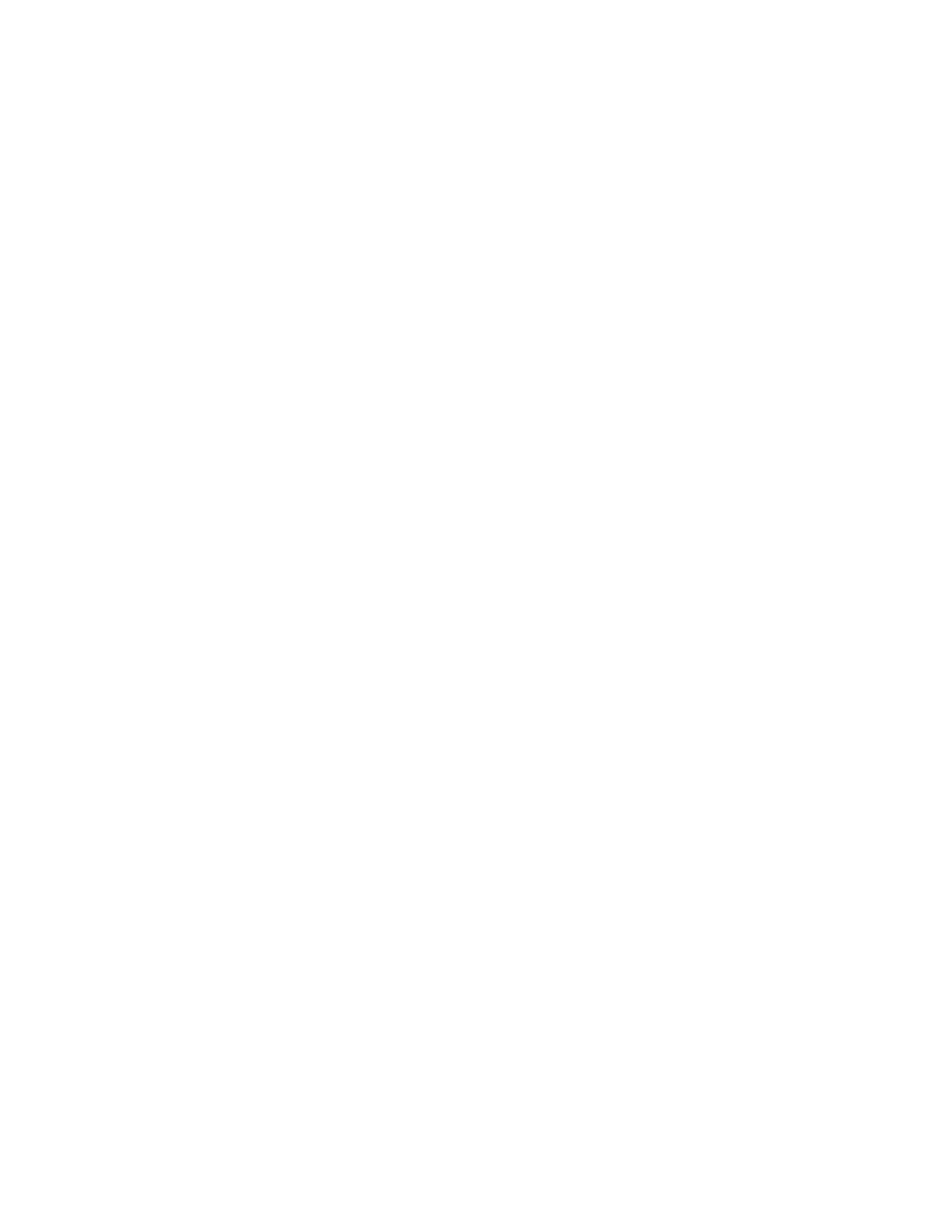| ìí                              | ìî<br>ìΪ              | ìð                   | ìñ                   | ìò | ìó                              | ìô                   | ìõ             | $d$ } š o |                               |                  |                |                        |                  |                                                        |                            |  |  |
|---------------------------------|-----------------------|----------------------|----------------------|----|---------------------------------|----------------------|----------------|-----------|-------------------------------|------------------|----------------|------------------------|------------------|--------------------------------------------------------|----------------------------|--|--|
| 8,1<br>$8 + 8$                  |                       |                      |                      |    |                                 |                      |                |           |                               |                  |                |                        |                  |                                                        |                            |  |  |
|                                 |                       | Wb Ç Œ<br>8]cš Œ     |                      |    |                                 |                      | & UHGLWIRU5 XQ | $5\%$     | 2 Q%V 6 VDWXV<br>3\$ %5 %DVHV | %DVHV<br>3 XVKHG | 30 NU<br>6FRUH |                        |                  | WoÇOE u ð^}Œ                                           |                            |  |  |
| /vv]vP K‰W)\$Z0E                | Z}XX ŠKOE C           | $\pmb{\circledcirc}$ | $\pmb{\circledcirc}$ |    | ₩Ç                              | $\pmb{\circledcirc}$ |                |           |                               |                  |                |                        |                  |                                                        | d u                        |  |  |
|                                 | $\mathbf{r}$          | 3HUDJ D              | $\prime$ '           |    | <b>6 QUOH QG UG (UURU</b>       |                      |                |           | í W<br>$i$ $z$                |                  |                | Wo Ç Œ                 | KCE              | ۷ <b>γ∙</b> ]Ÿ}                                        | Æ                          |  |  |
|                                 | Î.                    | 6XDUH                | ) %                  |    |                                 |                      |                |           | ìW<br>i Z                     |                  |                | ^ olÇ                  | ó                | Z&                                                     | ô                          |  |  |
| $>$ $\sqrt{u}$                  | -ï.                   | 9 RWR                | * $%$                |    |                                 |                      |                |           | i W<br>i Z                    |                  |                | WŒÌ                    | $\mathbf{r}$     | $\mathsf{v}\mathsf{v}$                                 | ó                          |  |  |
|                                 | ð                     | ' XYDO               | $\prime$ .           |    |                                 |                      |                |           | i W<br>ìZ                     |                  |                | $^{\wedge}$ Z oOE      | ò                | &                                                      | ð                          |  |  |
|                                 | ñ                     | 3 KLODSV             | $*$ %                |    |                                 |                      |                |           | i W<br>i Z                    |                  |                | ^š %Z v•} v            | õ                | W                                                      | $\hat{\mathbf{I}}$ .       |  |  |
|                                 | ò                     | 6 FKHEONU            | $*$ %                |    | $61QJ$ $\Theta$                 |                      |                |           | í W<br>$i \quad Z$            |                  |                | $s$ } $\circledcirc$ } | ï.               | $\mathbf{I}$                                           | $\mathbf{1}$               |  |  |
|                                 | ó                     | 6HON                 | ) %                  |    | ' RXE®                          |                      |                |           | îW<br>îZ                      |                  |                | ŒŒ                     | õ                | $r\,$ - $\mu$                                          | J.                         |  |  |
| $>$   $Q$ J                     | ô                     | %DU0KDUW             |                      |    | : DON2 XAVRPH                   |                      |                |           | í W<br>rí Z                   |                  |                | μÀου                   | ð                | -&                                                     | $\mathbb{L}$               |  |  |
|                                 | õ                     | 6 WASKHOVRO          | $*$ %                |    | 6DF%XQW                         |                      |                |           | i W<br>ìZ                     |                  |                | ŒZ Œ                   | ô                |                                                        | $\mathbf{1}$               |  |  |
|                                 | fi.                   | 3HUDJ D              | $^*$ %               |    | $61QJ$ $\Theta$                 |                      |                |           | í W<br>i Z                    |                  |                | VZJoJ‰                 | ñ                | î                                                      | j.                         |  |  |
|                                 | i í                   | 6XDUH                | ) %                  |    |                                 |                      |                |           | i W<br>ìZ                     |                  |                | Ζv                     | õ                | W                                                      | $\mathbf{i}$               |  |  |
|                                 | íî                    | 9 RWR                | $\prime$ .           |    | ' RXE®                          |                      |                |           | îW<br>ìZ                      |                  |                | $\nu$ 08               | î                | ï.                                                     | $\mathbf{1}$               |  |  |
| $>$   $Q$ J                     | f T                   | ' XYDO               | * $%$                |    |                                 |                      |                |           | i W<br>i Z                    |                  |                |                        |                  |                                                        |                            |  |  |
|                                 | íð                    | 3 KLODSV             | * $%$                |    |                                 |                      |                |           | i W<br>ìZ                     |                  |                |                        | 6 FRU+FDUG       |                                                        |                            |  |  |
| $>$ $\sqrt{u}$                  | íñ                    | 6 FKHEONU            | ) %                  |    |                                 |                      |                |           | i W<br>ìZ                     |                  |                |                        |                  | 6 SROVRUHG %                                           |                            |  |  |
|                                 | íò                    | 6HON                 |                      |    | $\cdot$                         |                      |                |           | i W<br>ìZ                     |                  |                |                        |                  |                                                        |                            |  |  |
|                                 | íó                    | <b>%DUCKDUW</b>      | $*$ %                |    |                                 |                      |                |           | i W<br>$i$ Z                  |                  |                |                        |                  |                                                        |                            |  |  |
|                                 | íô                    | 5 HQCD               |                      |    | $\cdot$                         |                      |                |           | ìW<br>ìZ                      |                  |                |                        |                  |                                                        |                            |  |  |
| $>$ $\sqrt{u}$                  | íõ                    | 3HUD D               | * $%$                |    |                                 |                      |                |           | i W<br>ìZ                     |                  |                |                        |                  |                                                        |                            |  |  |
|                                 | îì                    | 6XDUH                | 38                   |    |                                 |                      |                |           | i W<br>i Z                    |                  |                |                        | <b>HUIG</b>      | KWASV LWACHVDSSOH FRP XVDSSJR<br>PHDODOG ILMOHAV WIDEN | "PW                        |  |  |
|                                 | îí                    | 9 RWR                | ) %                  |    |                                 |                      |                |           | ì W<br>$i \, z$               |                  |                |                        |                  |                                                        |                            |  |  |
| $>$   $Q$ J                     | $\hat{1}\hat{1}$      | ' XYDO               | ) %                  |    |                                 |                      |                |           | ì W<br>$i \, z$               |                  |                |                        |                  |                                                        |                            |  |  |
|                                 | $\hat{1}$             | 3 KLODSV             | $^*$ %               |    |                                 |                      |                |           | ìW<br>$i$ $z$                 |                  |                |                        |                  |                                                        |                            |  |  |
|                                 | îŏ                    | 6 FKHEONU            | $*$ %                |    |                                 |                      |                |           | i W<br>$i \quad z$            |                  |                |                        |                  |                                                        |                            |  |  |
| $>$ 1 $\Omega$                  | îñ                    | 6HON                 |                      |    | $\sim$                          |                      |                |           | i W<br>$i \, z$               |                  |                |                        |                  |                                                        |                            |  |  |
|                                 | îò                    | <b>%DUCKDUW</b>      |                      |    | $\mathcal{A}^{\mathcal{A}}$ and |                      |                |           | ì W<br>$i$ Z                  |                  |                |                        |                  |                                                        |                            |  |  |
|                                 | ÎÓ                    | & DEUHLD             |                      |    | $+ \%3$ ) 2 G                   |                      |                |           | í W<br>$i$ $z$                |                  |                |                        |                  |                                                        |                            |  |  |
| Z v } v U X i ô                 |                       | 3HUD D               | $\prime$ .           |    |                                 |                      |                |           | i W<br>$i \, z$               |                  |                |                        |                  |                                                        |                            |  |  |
|                                 | $\hat{I}$ $\tilde{O}$ | 6XDUHJ               | $^*$ %               |    | ) &                             |                      |                |           | í W<br>$i \, z$               |                  |                |                        |                  |                                                        |                            |  |  |
| D}všP}u OCU<br>DX               |                       | 9RMR                 | $*$ %                |    | 8                               |                      |                |           | ì W<br>$i$ $z$                |                  |                |                        |                  |                                                        |                            |  |  |
|                                 | $-10$                 | ' XYDO               | $\prime$ .           |    | 6LQJOH ) 2 G                    |                      |                |           | í W<br>$i$ Z                  |                  |                |                        |                  |                                                        |                            |  |  |
| D}všP}u OCLJ <sub>∏</sub><br>DX |                       | 3 KLODSV             | ) %                  |    |                                 |                      |                |           | i W<br>$i \, z$               |                  |                |                        |                  |                                                        |                            |  |  |
|                                 | $-77$                 | 6 FKHEONU            | $*$ %                |    | 2                               |                      |                |           | i W<br>$i$ Z                  |                  |                |                        |                  |                                                        |                            |  |  |
| ^u ]šZUX                        | ïð                    | 6HON                 |                      |    | $\sim$                          |                      |                |           | i W<br>ì Z                    |                  |                | &UHGLW<br>) RU5        | $\frac{35}{200}$ | $\%5$<br>%DVHV                                         | %DMHV 30MHU<br>3XWHG 6FRUH |  |  |
|                                 |                       |                      |                      |    |                                 |                      |                |           |                               |                  |                | 8,1                    |                  |                                                        |                            |  |  |

: 3 / DFN-1, /3 6 WASK-HOURQ 6Y  $\frac{8.1}{8+8.0 \text{J}}$  / RZONULIZYRS & ROMEXWOULD & + & ZLQ  $8,1$  #  $8+8$ 

' u ^ } Œr Zµv• Ç/vv]vP

 $d$  u

/E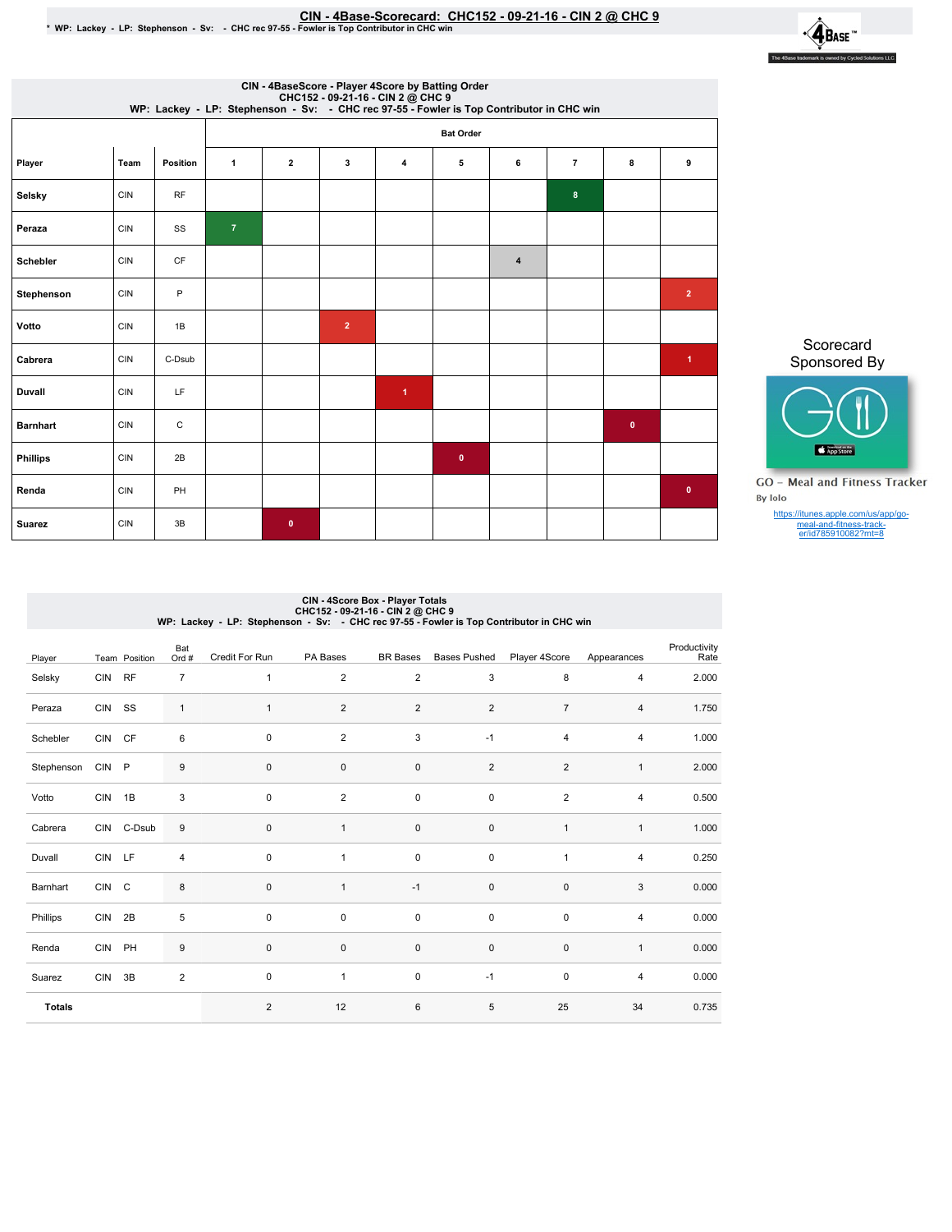## EIN - 4Base-Scorecard: CHC152 - 09-21-16 - CIN 2 @ CHC 9 لـ CIN - 4Base-Scorecard: CHC152 - 09-21-16 - CIN 2 @ CHC<br>\* WP: Lackey - LP: Stephenson - Sv: - CHC rec 97-55 - Fowler is Top Contributor in CHC win

 $\cdot \mathbf{A}_{\text{Base}}$ The 4Base trademark is owned by Cycled Solutions LLC.

| CIN - 4BaseScore - Player 4Score by Batting Order<br>CHC152 - 09-21-16 - CIN 2 @ CHC 9<br>WP: Lackey - LP: Stephenson - Sv: - CHC rec 97-55 - Fowler is Top Contributor in CHC win |            |             |                         |              |                |                      |             |   |                |           |                      |  |
|------------------------------------------------------------------------------------------------------------------------------------------------------------------------------------|------------|-------------|-------------------------|--------------|----------------|----------------------|-------------|---|----------------|-----------|----------------------|--|
|                                                                                                                                                                                    |            |             | <b>Bat Order</b>        |              |                |                      |             |   |                |           |                      |  |
| Player                                                                                                                                                                             | Team       | Position    | $\mathbf{1}$            | $\mathbf{2}$ | 3              | 4                    | 5           | 6 | $\overline{7}$ | 8         | 9                    |  |
| Selsky                                                                                                                                                                             | <b>CIN</b> | <b>RF</b>   |                         |              |                |                      |             |   | 8              |           |                      |  |
| Peraza                                                                                                                                                                             | <b>CIN</b> | SS          | $\overline{\mathbf{7}}$ |              |                |                      |             |   |                |           |                      |  |
| <b>Schebler</b>                                                                                                                                                                    | <b>CIN</b> | CF          |                         |              |                |                      |             | 4 |                |           |                      |  |
| Stephenson                                                                                                                                                                         | <b>CIN</b> | P           |                         |              |                |                      |             |   |                |           | $\overline{2}$       |  |
| Votto                                                                                                                                                                              | <b>CIN</b> | 1B          |                         |              | $\overline{2}$ |                      |             |   |                |           |                      |  |
| Cabrera                                                                                                                                                                            | <b>CIN</b> | C-Dsub      |                         |              |                |                      |             |   |                |           | $\blacktriangleleft$ |  |
| <b>Duvall</b>                                                                                                                                                                      | <b>CIN</b> | LF          |                         |              |                | $\blacktriangleleft$ |             |   |                |           |                      |  |
| <b>Barnhart</b>                                                                                                                                                                    | <b>CIN</b> | $\mathbf C$ |                         |              |                |                      |             |   |                | $\bullet$ |                      |  |
| <b>Phillips</b>                                                                                                                                                                    | <b>CIN</b> | 2B          |                         |              |                |                      | $\mathbf 0$ |   |                |           |                      |  |
| Renda                                                                                                                                                                              | <b>CIN</b> | PH          |                         |              |                |                      |             |   |                |           | $\bullet$            |  |
| <b>Suarez</b>                                                                                                                                                                      | <b>CIN</b> | 3B          |                         | $\bullet$    |                |                      |             |   |                |           |                      |  |

Scorecard Sponsored By



**GO** - Meal and Fitness Tracker By Iolo

https://itunes.apple.com/us/app/go-meal-and-fitness-track-er/id785910082?mt=8

# CIN - 4Score Box - Player Totals<br>CHC152 - 09-21-16<br>WP: Lackey - LP: Stephenson - Sv: - CHC rec 97-55 - Fowler is Top Contributor in CHC win

| Player        |            | Team Position | Bat<br>Ord #              | Credit For Run | PA Bases       | <b>BR</b> Bases | <b>Bases Pushed</b> | Player 4Score  | Appearances    | Productivity<br>Rate |
|---------------|------------|---------------|---------------------------|----------------|----------------|-----------------|---------------------|----------------|----------------|----------------------|
| Selsky        | CIN RF     |               | $\overline{7}$            | $\mathbf{1}$   | $\overline{2}$ | $\overline{2}$  | 3                   | 8              | $\overline{4}$ | 2.000                |
| Peraza        | CIN SS     |               | $\mathbf{1}$              | $\mathbf{1}$   | $\overline{2}$ | $\overline{2}$  | $\overline{2}$      | $\overline{7}$ | $\overline{4}$ | 1.750                |
| Schebler      | CIN CF     |               | $\,6$                     | $\mathbf 0$    | $\overline{2}$ | 3               | $-1$                | $\overline{4}$ | $\overline{4}$ | 1.000                |
| Stephenson    | CIN P      |               | $\boldsymbol{9}$          | $\mathbf 0$    | $\pmb{0}$      | $\pmb{0}$       | $\overline{2}$      | 2              | $\mathbf{1}$   | 2.000                |
| Votto         | <b>CIN</b> | 1B            | $\ensuremath{\mathsf{3}}$ | $\mathbf 0$    | $\overline{2}$ | $\pmb{0}$       | $\pmb{0}$           | $\overline{2}$ | $\overline{4}$ | 0.500                |
| Cabrera       |            | CIN C-Dsub    | $9\,$                     | $\mathbf 0$    | $\overline{1}$ | $\pmb{0}$       | $\pmb{0}$           | $\mathbf{1}$   | $\mathbf{1}$   | 1.000                |
| Duvall        | CIN LF     |               | $\overline{\mathbf{4}}$   | $\mathbf 0$    | $\overline{1}$ | $\pmb{0}$       | 0                   | $\mathbf{1}$   | $\overline{4}$ | 0.250                |
| Barnhart      | CIN C      |               | 8                         | $\mathbf 0$    | $\mathbf{1}$   | $-1$            | $\pmb{0}$           | $\pmb{0}$      | 3              | 0.000                |
| Phillips      | CIN 2B     |               | 5                         | $\mathbf 0$    | $\pmb{0}$      | $\pmb{0}$       | 0                   | $\pmb{0}$      | 4              | 0.000                |
| Renda         | CIN PH     |               | $\boldsymbol{9}$          | 0              | $\pmb{0}$      | 0               | $\pmb{0}$           | $\pmb{0}$      | $\mathbf{1}$   | 0.000                |
| Suarez        | <b>CIN</b> | 3B            | $\overline{2}$            | $\mathbf 0$    | $\mathbf{1}$   | $\pmb{0}$       | $-1$                | $\pmb{0}$      | $\overline{4}$ | 0.000                |
| <b>Totals</b> |            |               |                           | $\overline{2}$ | 12             | 6               | 5                   | 25             | 34             | 0.735                |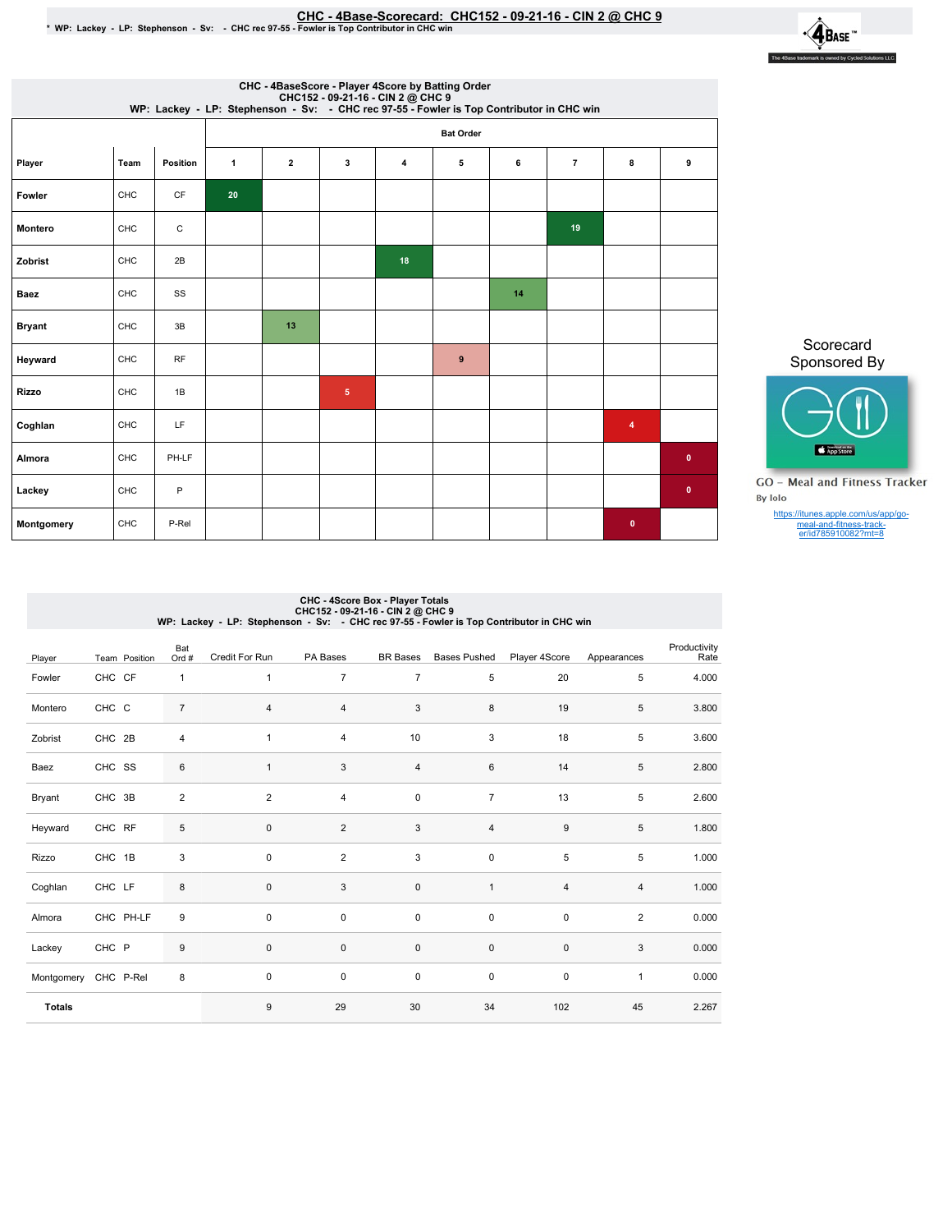## CHC - 4Base-Scorecard: CHC152 - 09-21-16 - CIN 2 @ CHC 9 ف CHC - 4Base-Scorecard: CHC152 - 09-21-16 - CIN 2<br>€ WP: Lackey - LP: Stephenson - Sv: - CHC rec 97-55 - Fowler is Top Contributor in CHC win

| The 4Base trademark is owned by Cycled Solutions |
|--------------------------------------------------|

|                | CHC - 4BaseScore - Player 4Score by Batting Order<br>CHC152 - 09-21-16 - CIN 2 @ CHC 9<br>WP: Lackey - LP: Stephenson - Sv: - CHC rec 97-55 - Fowler is Top Contributor in CHC win |             |    |              |                |    |                  |    |                |                         |             |  |  |
|----------------|------------------------------------------------------------------------------------------------------------------------------------------------------------------------------------|-------------|----|--------------|----------------|----|------------------|----|----------------|-------------------------|-------------|--|--|
|                |                                                                                                                                                                                    |             |    |              |                |    | <b>Bat Order</b> |    |                |                         |             |  |  |
| Player         | Team                                                                                                                                                                               | Position    | 1  | $\mathbf{2}$ | 3              | 4  | 5                | 6  | $\overline{7}$ | 8                       | 9           |  |  |
| Fowler         | CHC                                                                                                                                                                                | CF          | 20 |              |                |    |                  |    |                |                         |             |  |  |
| <b>Montero</b> | CHC                                                                                                                                                                                | $\mathbf C$ |    |              |                |    |                  |    | 19             |                         |             |  |  |
| Zobrist        | CHC                                                                                                                                                                                | 2B          |    |              |                | 18 |                  |    |                |                         |             |  |  |
| Baez           | CHC                                                                                                                                                                                | SS          |    |              |                |    |                  | 14 |                |                         |             |  |  |
| <b>Bryant</b>  | CHC                                                                                                                                                                                | 3B          |    | 13           |                |    |                  |    |                |                         |             |  |  |
| Heyward        | CHC                                                                                                                                                                                | <b>RF</b>   |    |              |                |    | $\mathbf{9}$     |    |                |                         |             |  |  |
| <b>Rizzo</b>   | CHC                                                                                                                                                                                | 1B          |    |              | 5 <sub>5</sub> |    |                  |    |                |                         |             |  |  |
| Coghlan        | CHC                                                                                                                                                                                | LF          |    |              |                |    |                  |    |                | $\overline{\mathbf{4}}$ |             |  |  |
| Almora         | CHC                                                                                                                                                                                | PH-LF       |    |              |                |    |                  |    |                |                         | $\mathbf 0$ |  |  |
| Lackey         | CHC                                                                                                                                                                                | P           |    |              |                |    |                  |    |                |                         | $\mathbf 0$ |  |  |
| Montgomery     | CHC                                                                                                                                                                                | P-Rel       |    |              |                |    |                  |    |                | $\pmb{0}$               |             |  |  |

Scorecard Sponsored By



**GO** - Meal and Fitness Tracker By Iolo

https://itunes.apple.com/us/app/go-meal-and-fitness-track-er/id785910082?mt=8

## CHC - 4Score Box - Player Totals<br>CHC152 - 09-21-16<br>WP: Lackey - LP: Stephenson - Sv: - CHC rec 97-55 - Fowler is Top Contributor in CHC win

| Player        |        | Team Position | Bat<br>Ord #     | Credit For Run | PA Bases       | <b>BR</b> Bases | <b>Bases Pushed</b> | Player 4Score    | Appearances    | Productivity<br>Rate |
|---------------|--------|---------------|------------------|----------------|----------------|-----------------|---------------------|------------------|----------------|----------------------|
| Fowler        | CHC CF |               | $\mathbf{1}$     | $\mathbf{1}$   | $\overline{7}$ | $\overline{7}$  | $\,$ 5 $\,$         | 20               | 5              | 4.000                |
| Montero       | CHC C  |               | $\overline{7}$   | $\overline{4}$ | $\overline{4}$ | 3               | 8                   | 19               | 5              | 3.800                |
| Zobrist       | CHC 2B |               | $\overline{4}$   | $\mathbf{1}$   | 4              | 10              | 3                   | 18               | 5              | 3.600                |
| Baez          | CHC SS |               | $\,6\,$          | $\mathbf{1}$   | 3              | $\overline{4}$  | 6                   | 14               | 5              | 2.800                |
| Bryant        | CHC 3B |               | $\overline{2}$   | $\overline{2}$ | 4              | $\pmb{0}$       | $\overline{7}$      | 13               | 5              | 2.600                |
| Heyward       | CHC RF |               | $\sqrt{5}$       | 0              | $\overline{2}$ | 3               | $\overline{4}$      | $\boldsymbol{9}$ | 5              | 1.800                |
| Rizzo         | CHC 1B |               | $\mathbf{3}$     | 0              | $\overline{2}$ | 3               | $\pmb{0}$           | 5                | 5              | 1.000                |
| Coghlan       | CHC LF |               | 8                | 0              | 3              | 0               | $\mathbf{1}$        | $\overline{4}$   | $\overline{4}$ | 1.000                |
| Almora        |        | CHC PH-LF     | 9                | 0              | $\mathbf 0$    | 0               | $\pmb{0}$           | $\pmb{0}$        | $\overline{2}$ | 0.000                |
| Lackey        | CHC P  |               | $\boldsymbol{9}$ | 0              | $\mathbf 0$    | $\mathbf 0$     | $\pmb{0}$           | $\mathsf 0$      | $\mathbf{3}$   | 0.000                |
| Montgomery    |        | CHC P-Rel     | 8                | 0              | $\mathbf 0$    | 0               | $\pmb{0}$           | $\pmb{0}$        | $\mathbf{1}$   | 0.000                |
| <b>Totals</b> |        |               |                  | 9              | 29             | 30              | 34                  | 102              | 45             | 2.267                |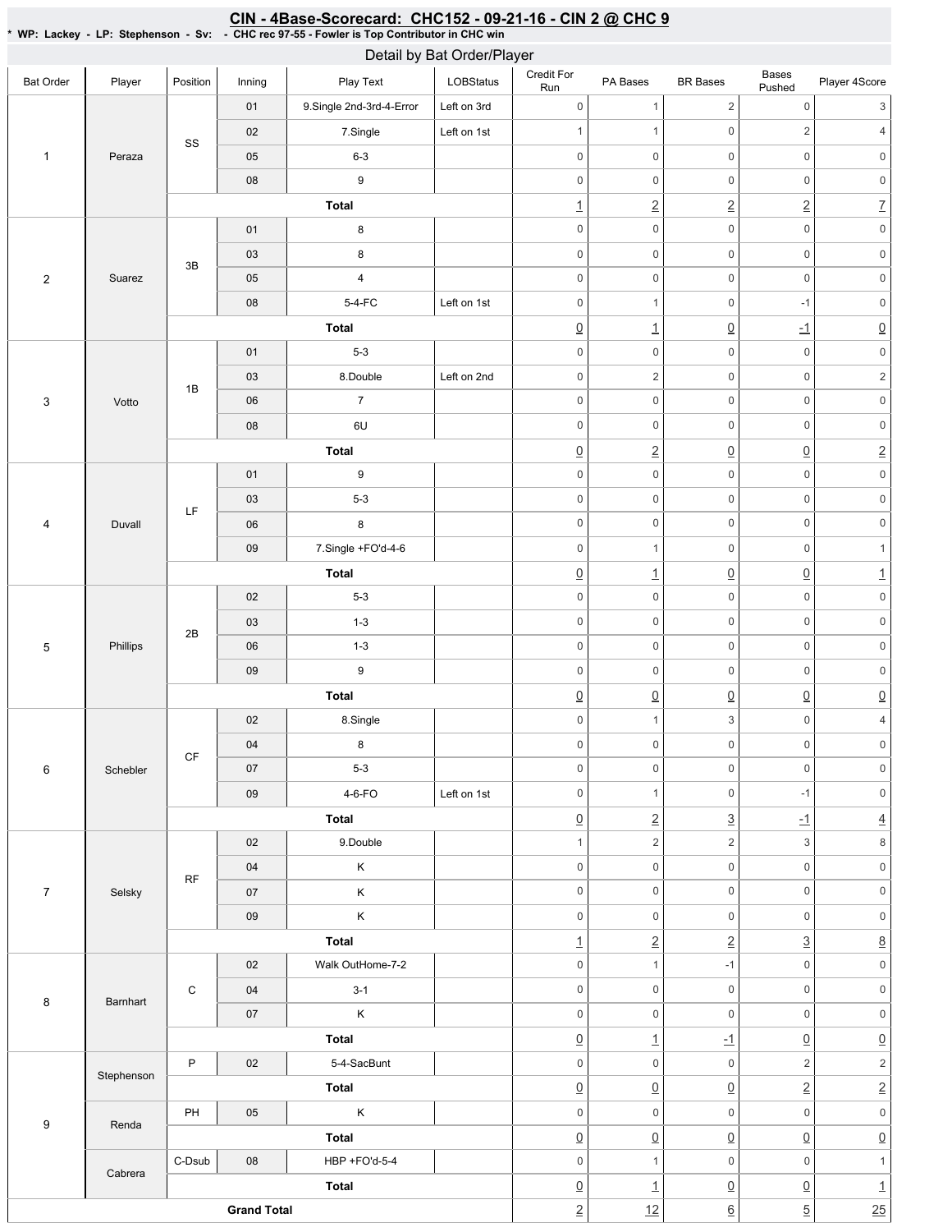#### <u>CIN - 4Base-Scorecard: CHC152 - 09-21-16 - CIN 2 @ CHC 9</u>

\*WP:Lackey-LP:Stephenson-Sv: -CHCrec97-55-FowlerisTopContributorinCHCwin

| Detail by Bat Order/Player |            |                        |                    |                          |                |                     |                          |                           |                         |                          |
|----------------------------|------------|------------------------|--------------------|--------------------------|----------------|---------------------|--------------------------|---------------------------|-------------------------|--------------------------|
| <b>Bat Order</b>           | Player     | Position               | Inning             | Play Text                | LOBStatus      | Credit For<br>Run   | PA Bases                 | <b>BR</b> Bases           | Bases<br>Pushed         | Player 4Score            |
|                            |            |                        | 01                 | 9.Single 2nd-3rd-4-Error | Left on 3rd    | $\mathsf 0$         | $\mathbf{1}$             | $\overline{2}$            | $\mathsf 0$             | 3                        |
|                            |            | SS                     | 02                 | 7.Single                 | Left on 1st    | $\mathbf{1}$        | $\mathbf{1}$             | $\mathbb O$               | $\overline{\mathbf{c}}$ | $\sqrt{4}$               |
| $\mathbf{1}$               | Peraza     |                        | 05                 | $6 - 3$                  |                | $\mathsf{O}\xspace$ | $\mathbf 0$              | $\mathsf{O}\xspace$       | $\mathsf 0$             | $\mathsf{0}$             |
|                            |            |                        | ${\bf 08}$         | $\boldsymbol{9}$         |                | $\mathsf{O}\xspace$ | $\mathbf 0$              | $\mathsf{O}\xspace$       | $\mathsf 0$             | $\mathsf{O}\xspace$      |
|                            |            |                        |                    | <b>Total</b>             |                | $\overline{1}$      | $\underline{2}$          | $\underline{2}$           | $\overline{2}$          | $\overline{1}$           |
|                            |            |                        | 01                 | 8                        |                | $\mathsf 0$         | $\mathbf 0$              | $\mathsf{O}\xspace$       | $\mathsf 0$             | $\mathsf{O}\xspace$      |
|                            |            | 3B                     | 03                 | 8                        |                | $\mathsf{O}\xspace$ | $\mathsf{O}\xspace$      | $\mathbb O$               | $\mathsf 0$             | $\mathsf{O}\xspace$      |
| $\sqrt{2}$                 | Suarez     |                        | 05                 | $\overline{\mathbf{4}}$  |                | $\mathsf 0$         | $\mathsf{O}\xspace$      | $\mathbb O$               | $\mathsf{O}\xspace$     | $\mathsf{O}\xspace$      |
|                            |            |                        | ${\bf 08}$         | 5-4-FC                   | Left on 1st    | $\mathsf{O}\xspace$ | $\mathbf{1}$             | $\mathbb O$               | $-1$                    | $\mathsf{O}\xspace$      |
|                            |            |                        |                    | <b>Total</b>             |                | $\underline{0}$     | $\overline{1}$           | $\underline{0}$           | $-1$                    | $\underline{0}$          |
|                            |            |                        | 01                 | $5 - 3$                  |                | $\mathsf{O}\xspace$ | $\mathbf 0$              | $\mathsf{O}\xspace$       | $\mathsf 0$             | $\mathsf{O}\xspace$      |
|                            |            | 1B                     | 03                 | 8.Double                 | Left on 2nd    | $\mathsf{O}\xspace$ | $\overline{2}$           | $\mathbb O$               | $\mathsf 0$             | $\overline{2}$           |
| $\ensuremath{\mathsf{3}}$  | Votto      |                        | 06                 | $\overline{7}$           |                | $\mathsf{O}\xspace$ | $\mathsf{O}\xspace$      | $\mathbb O$               | $\mathsf{O}\xspace$     | $\mathsf{0}$             |
|                            |            |                        | ${\bf 08}$         | $6\textsf{U}$            |                | $\mathsf 0$         | $\mathsf{O}\xspace$      | $\mathsf{O}\xspace$       | $\mathsf 0$             | $\mathsf{O}\xspace$      |
|                            |            |                        |                    | <b>Total</b>             |                | $\underline{0}$     | $\underline{2}$          | $\underline{0}$           | $\overline{0}$          | $\overline{2}$           |
|                            |            |                        | 01                 | 9                        |                | $\mathsf{O}\xspace$ | $\mathsf{O}\xspace$      | $\mathbb O$               | $\mathsf 0$             | $\mathsf{O}\xspace$      |
|                            |            | LF                     | 03                 | $5-3$                    |                | $\mathsf{O}\xspace$ | $\mathbf 0$              | $\mathbb O$               | $\mathsf 0$             | $\mathbb O$              |
| $\overline{4}$             | Duvall     |                        | 06                 | 8                        |                | $\mathsf 0$         | $\mathbf 0$              | $\mathbb O$               | $\mathsf{O}\xspace$     | $\mathsf 0$              |
|                            |            |                        | 09                 | 7.Single +FO'd-4-6       |                | $\mathsf 0$         | $\mathbf{1}$             | $\mathsf{O}\xspace$       | $\mathsf 0$             | $\mathbf{1}$             |
|                            |            |                        |                    | <b>Total</b>             |                | $\underline{0}$     | $\underline{\mathbf{1}}$ | $\underline{0}$           | $\underline{0}$         | $\underline{\mathbf{1}}$ |
|                            |            |                        | $02\,$             | $5 - 3$                  |                | $\mathsf{O}\xspace$ | $\mathbf 0$              | $\mathbb O$               | $\mathsf{O}\xspace$     | $\mathsf{O}\xspace$      |
|                            |            | 2B                     | 03                 | $1 - 3$                  |                | $\mathsf 0$         | $\mathsf{O}\xspace$      | $\mathbf 0$               | $\mathsf 0$             | $\mathsf{O}\xspace$      |
| $\mathbf 5$                | Phillips   |                        | 06                 | $1 - 3$                  |                | $\mathsf{O}\xspace$ | $\mathbf 0$              | $\mathsf{O}\xspace$       | $\mathsf 0$             | $\mathsf{O}\xspace$      |
|                            |            |                        | 09                 | 9                        |                | $\mathsf{O}\xspace$ | $\mathbf 0$              | $\mathbb O$               | $\mathsf{O}\xspace$     | $\mathsf{O}\xspace$      |
|                            |            |                        |                    | Total                    |                | $\underline{0}$     | $\underline{0}$          | $\underline{0}$           | $\underline{0}$         | $\underline{0}$          |
|                            |            |                        | 02                 | 8.Single                 |                | $\mathsf{O}\xspace$ | $\mathbf{1}$             | $\ensuremath{\mathsf{3}}$ | $\mathsf 0$             | $\overline{4}$           |
|                            |            | $\mathsf{C}\mathsf{F}$ | 04                 | 8                        |                | 0                   | 0                        | $\overline{0}$            | $\overline{0}$          | 0                        |
| 6                          | Schebler   |                        | 07                 | $5-3$                    |                | $\mathsf{O}\xspace$ | $\mathbf 0$              | $\mathsf 0$               | $\mathsf{O}\xspace$     | $\mathsf{O}\xspace$      |
|                            |            |                        | 09                 | 4-6-FO                   | Left on 1st    | $\mathbf 0$         | $\mathbf{1}$             | $\mathbb O$               | $-1$                    | $\mathsf{O}\xspace$      |
|                            |            |                        |                    | Total                    |                | $\underline{0}$     | $\underline{2}$          | $\underline{3}$           | $\overline{-1}$         | $\overline{4}$           |
|                            |            |                        | $02\,$             | 9.Double                 |                | $\mathbf{1}$        | $\sqrt{2}$               | $\overline{2}$            | 3                       | 8                        |
|                            |            | $\sf RF$               | 04                 | K                        |                | $\mathbf 0$         | $\mathsf{O}\xspace$      | $\mathsf 0$               | $\mathsf 0$             | $\mathsf{O}\xspace$      |
| $\boldsymbol{7}$           | Selsky     |                        | 07                 | $\sf K$                  |                | $\mathsf{O}\xspace$ | $\mathsf{O}\xspace$      | $\mathsf 0$               | $\mathsf 0$             | $\mathsf{O}\xspace$      |
|                            |            |                        | 09                 | $\sf K$                  |                | $\mathsf{O}\xspace$ | $\mathsf{O}\xspace$      | $\mathsf 0$               | $\mathsf 0$             | $\mathsf{O}\xspace$      |
|                            |            |                        |                    | Total                    |                | $\overline{1}$      | $\underline{2}$          | $\underline{2}$           | $\underline{3}$         | $\underline{8}$          |
|                            |            |                        | 02                 | Walk OutHome-7-2         |                | $\mathsf{O}\xspace$ | $\mathbf{1}$             | $-1$                      | $\mathsf 0$             | $\mathsf{O}\xspace$      |
|                            | Barnhart   | $\mathbf C$            | 04                 | $3 - 1$                  |                | $\mathsf{O}\xspace$ | $\mathsf{O}\xspace$      | $\mathbb O$               | $\mathsf 0$             | $\mathsf{O}\xspace$      |
| 8                          |            |                        | $07\,$             | $\sf K$                  |                | $\mathsf{O}\xspace$ | $\mathsf{O}\xspace$      | $\mathsf 0$               | $\mathsf 0$             | $\mathsf{O}\xspace$      |
|                            |            |                        |                    | Total                    |                | $\underline{0}$     | $\overline{1}$           | $-1$                      | $\underline{0}$         | $\underline{0}$          |
|                            |            | P                      | $02\,$             | 5-4-SacBunt              |                | $\mathsf{O}\xspace$ | $\mathsf{O}\xspace$      | $\mathsf{O}\xspace$       | $\overline{c}$          | $\sqrt{2}$               |
|                            | Stephenson |                        |                    | <b>Total</b>             |                | $\underline{0}$     | $\underline{0}$          | $\underline{0}$           | $\underline{2}$         | $\underline{2}$          |
|                            |            | PH                     | 05                 | $\mathsf K$              |                | $\mathsf 0$         | $\mathsf{O}\xspace$      | $\mathsf 0$               | $\mathsf{O}\xspace$     | $\mathsf{O}\xspace$      |
| $\boldsymbol{9}$           | Renda      |                        |                    | Total                    |                | $\underline{0}$     | $\underline{0}$          | $\underline{0}$           | $\underline{0}$         | $\underline{0}$          |
|                            |            | C-Dsub                 | 08                 | HBP +FO'd-5-4            |                | $\mathsf{O}\xspace$ | $\mathbf{1}$             | $\mathsf 0$               | $\mathsf 0$             | $\mathbf{1}$             |
|                            | Cabrera    |                        |                    | Total                    |                | $\underline{0}$     | $\underline{\mathbf{1}}$ | $\underline{0}$           | $\underline{0}$         | $\underline{\mathbf{1}}$ |
|                            |            |                        | <b>Grand Total</b> |                          | $\overline{2}$ | 12                  | $\underline{6}$          | $\overline{5}$            | 25                      |                          |